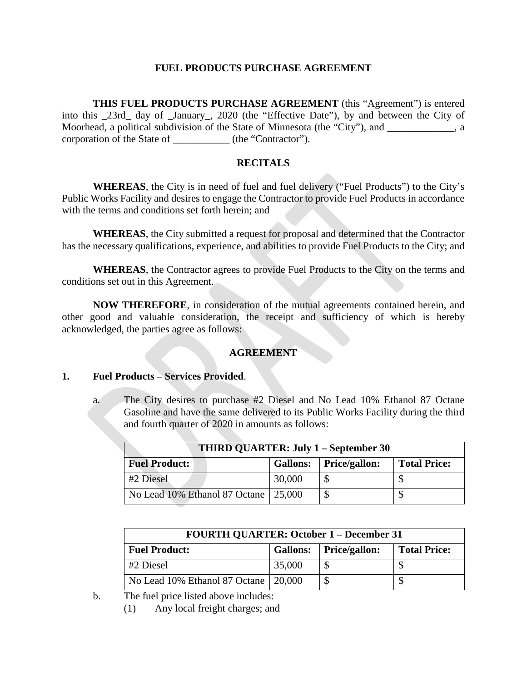#### **FUEL PRODUCTS PURCHASE AGREEMENT**

**THIS FUEL PRODUCTS PURCHASE AGREEMENT** (this "Agreement") is entered into this \_23rd\_ day of \_January\_, 2020 (the "Effective Date"), by and between the City of Moorhead, a political subdivision of the State of Minnesota (the "City"), and \_\_\_\_\_\_\_\_\_\_\_\_\_, a corporation of the State of \_\_\_\_\_\_\_\_\_\_\_ (the "Contractor").

## **RECITALS**

**WHEREAS**, the City is in need of fuel and fuel delivery ("Fuel Products") to the City's Public Works Facility and desires to engage the Contractor to provide Fuel Products in accordance with the terms and conditions set forth herein; and

**WHEREAS**, the City submitted a request for proposal and determined that the Contractor has the necessary qualifications, experience, and abilities to provide Fuel Products to the City; and

**WHEREAS**, the Contractor agrees to provide Fuel Products to the City on the terms and conditions set out in this Agreement.

**NOW THEREFORE**, in consideration of the mutual agreements contained herein, and other good and valuable consideration, the receipt and sufficiency of which is hereby acknowledged, the parties agree as follows:

#### **AGREEMENT**

#### **1. Fuel Products – Services Provided**.

a. The City desires to purchase #2 Diesel and No Lead 10% Ethanol 87 Octane Gasoline and have the same delivered to its Public Works Facility during the third and fourth quarter of 2020 in amounts as follows:

| THIRD QUARTER: July 1 – September 30 |        |                          |                     |  |  |
|--------------------------------------|--------|--------------------------|---------------------|--|--|
| <b>Fuel Product:</b>                 |        | Gallons:   Price/gallon: | <b>Total Price:</b> |  |  |
| #2 Diesel                            | 30,000 |                          |                     |  |  |
| No Lead 10% Ethanol 87 Octane        | 25,000 |                          |                     |  |  |

| <b>FOURTH QUARTER: October 1 – December 31</b> |        |                          |                     |  |  |
|------------------------------------------------|--------|--------------------------|---------------------|--|--|
| <b>Fuel Product:</b>                           |        | Gallons:   Price/gallon: | <b>Total Price:</b> |  |  |
| #2 Diesel                                      | 35,000 |                          |                     |  |  |
| No Lead 10% Ethanol 87 Octane 20,000           |        |                          |                     |  |  |

b. The fuel price listed above includes:

(1) Any local freight charges; and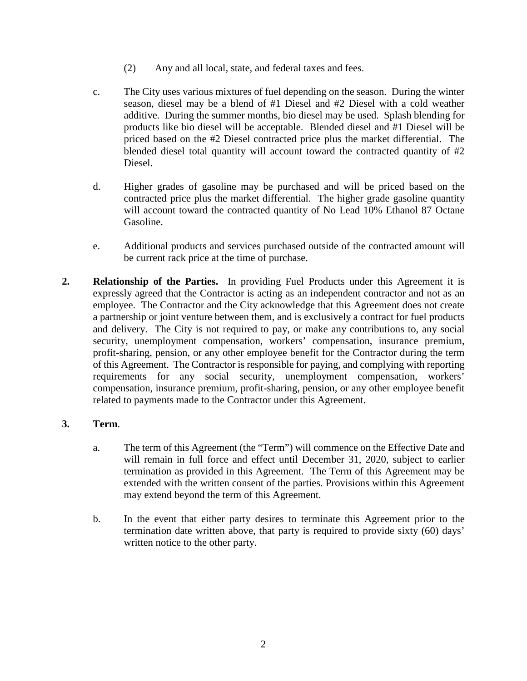- (2) Any and all local, state, and federal taxes and fees.
- c. The City uses various mixtures of fuel depending on the season. During the winter season, diesel may be a blend of #1 Diesel and #2 Diesel with a cold weather additive. During the summer months, bio diesel may be used. Splash blending for products like bio diesel will be acceptable. Blended diesel and #1 Diesel will be priced based on the #2 Diesel contracted price plus the market differential. The blended diesel total quantity will account toward the contracted quantity of #2 Diesel.
- d. Higher grades of gasoline may be purchased and will be priced based on the contracted price plus the market differential. The higher grade gasoline quantity will account toward the contracted quantity of No Lead 10% Ethanol 87 Octane Gasoline.
- e. Additional products and services purchased outside of the contracted amount will be current rack price at the time of purchase.
- **2. Relationship of the Parties.** In providing Fuel Products under this Agreement it is expressly agreed that the Contractor is acting as an independent contractor and not as an employee. The Contractor and the City acknowledge that this Agreement does not create a partnership or joint venture between them, and is exclusively a contract for fuel products and delivery. The City is not required to pay, or make any contributions to, any social security, unemployment compensation, workers' compensation, insurance premium, profit-sharing, pension, or any other employee benefit for the Contractor during the term of this Agreement. The Contractor is responsible for paying, and complying with reporting requirements for any social security, unemployment compensation, workers' compensation, insurance premium, profit-sharing, pension, or any other employee benefit related to payments made to the Contractor under this Agreement.

## **3. Term**.

- a. The term of this Agreement (the "Term") will commence on the Effective Date and will remain in full force and effect until December 31, 2020, subject to earlier termination as provided in this Agreement. The Term of this Agreement may be extended with the written consent of the parties. Provisions within this Agreement may extend beyond the term of this Agreement.
- b. In the event that either party desires to terminate this Agreement prior to the termination date written above, that party is required to provide sixty (60) days' written notice to the other party.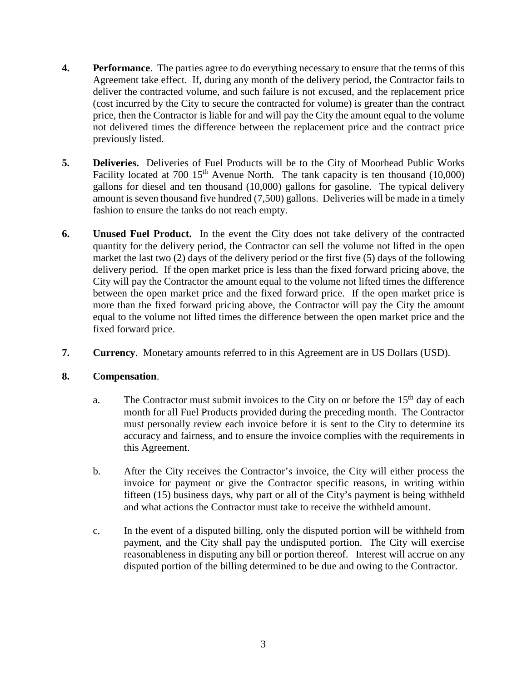- **4. Performance**. The parties agree to do everything necessary to ensure that the terms of this Agreement take effect. If, during any month of the delivery period, the Contractor fails to deliver the contracted volume, and such failure is not excused, and the replacement price (cost incurred by the City to secure the contracted for volume) is greater than the contract price, then the Contractor is liable for and will pay the City the amount equal to the volume not delivered times the difference between the replacement price and the contract price previously listed.
- **5. Deliveries.** Deliveries of Fuel Products will be to the City of Moorhead Public Works Facility located at 700  $15<sup>th</sup>$  Avenue North. The tank capacity is ten thousand (10,000) gallons for diesel and ten thousand (10,000) gallons for gasoline. The typical delivery amount is seven thousand five hundred (7,500) gallons. Deliveries will be made in a timely fashion to ensure the tanks do not reach empty.
- **6. Unused Fuel Product.** In the event the City does not take delivery of the contracted quantity for the delivery period, the Contractor can sell the volume not lifted in the open market the last two (2) days of the delivery period or the first five (5) days of the following delivery period. If the open market price is less than the fixed forward pricing above, the City will pay the Contractor the amount equal to the volume not lifted times the difference between the open market price and the fixed forward price. If the open market price is more than the fixed forward pricing above, the Contractor will pay the City the amount equal to the volume not lifted times the difference between the open market price and the fixed forward price.
- **7. Currency**. Monetary amounts referred to in this Agreement are in US Dollars (USD).

## **8. Compensation**.

- a. The Contractor must submit invoices to the City on or before the  $15<sup>th</sup>$  day of each month for all Fuel Products provided during the preceding month. The Contractor must personally review each invoice before it is sent to the City to determine its accuracy and fairness, and to ensure the invoice complies with the requirements in this Agreement.
- b. After the City receives the Contractor's invoice, the City will either process the invoice for payment or give the Contractor specific reasons, in writing within fifteen (15) business days, why part or all of the City's payment is being withheld and what actions the Contractor must take to receive the withheld amount.
- c. In the event of a disputed billing, only the disputed portion will be withheld from payment, and the City shall pay the undisputed portion. The City will exercise reasonableness in disputing any bill or portion thereof. Interest will accrue on any disputed portion of the billing determined to be due and owing to the Contractor.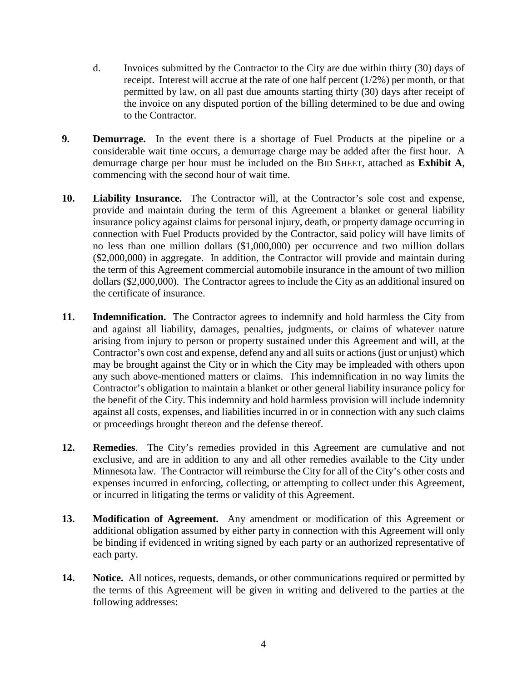- d. Invoices submitted by the Contractor to the City are due within thirty (30) days of receipt. Interest will accrue at the rate of one half percent (1/2%) per month, or that permitted by law, on all past due amounts starting thirty (30) days after receipt of the invoice on any disputed portion of the billing determined to be due and owing to the Contractor.
- **9. Demurrage.** In the event there is a shortage of Fuel Products at the pipeline or a considerable wait time occurs, a demurrage charge may be added after the first hour. A demurrage charge per hour must be included on the BID SHEET, attached as **Exhibit A**, commencing with the second hour of wait time.
- **10. Liability Insurance.** The Contractor will, at the Contractor's sole cost and expense, provide and maintain during the term of this Agreement a blanket or general liability insurance policy against claims for personal injury, death, or property damage occurring in connection with Fuel Products provided by the Contractor, said policy will have limits of no less than one million dollars (\$1,000,000) per occurrence and two million dollars (\$2,000,000) in aggregate. In addition, the Contractor will provide and maintain during the term of this Agreement commercial automobile insurance in the amount of two million dollars (\$2,000,000). The Contractor agrees to include the City as an additional insured on the certificate of insurance.
- **11. Indemnification.** The Contractor agrees to indemnify and hold harmless the City from and against all liability, damages, penalties, judgments, or claims of whatever nature arising from injury to person or property sustained under this Agreement and will, at the Contractor's own cost and expense, defend any and all suits or actions (just or unjust) which may be brought against the City or in which the City may be impleaded with others upon any such above-mentioned matters or claims. This indemnification in no way limits the Contractor's obligation to maintain a blanket or other general liability insurance policy for the benefit of the City. This indemnity and hold harmless provision will include indemnity against all costs, expenses, and liabilities incurred in or in connection with any such claims or proceedings brought thereon and the defense thereof.
- **12. Remedies**. The City's remedies provided in this Agreement are cumulative and not exclusive, and are in addition to any and all other remedies available to the City under Minnesota law. The Contractor will reimburse the City for all of the City's other costs and expenses incurred in enforcing, collecting, or attempting to collect under this Agreement, or incurred in litigating the terms or validity of this Agreement.
- **13. Modification of Agreement.** Any amendment or modification of this Agreement or additional obligation assumed by either party in connection with this Agreement will only be binding if evidenced in writing signed by each party or an authorized representative of each party.
- **14. Notice.** All notices, requests, demands, or other communications required or permitted by the terms of this Agreement will be given in writing and delivered to the parties at the following addresses: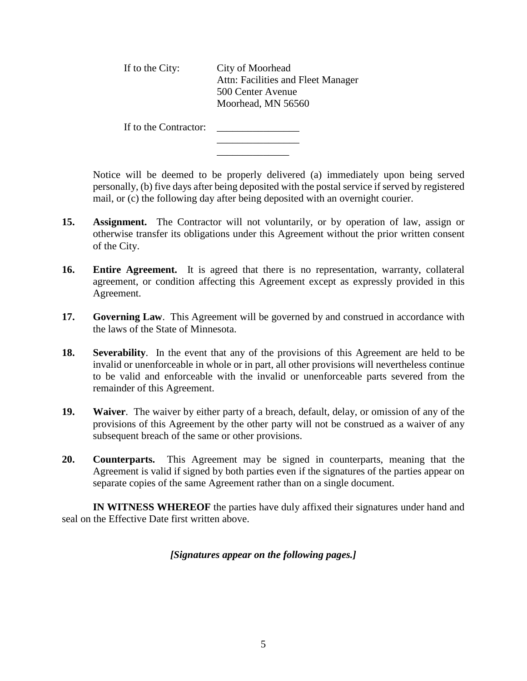| If to the City: | City of Moorhead                   |
|-----------------|------------------------------------|
|                 | Attn: Facilities and Fleet Manager |
|                 | 500 Center Avenue                  |
|                 | Moorhead, MN 56560                 |
|                 |                                    |

If to the Contractor: \_\_\_\_\_\_\_\_\_\_\_\_\_\_\_\_

Notice will be deemed to be properly delivered (a) immediately upon being served personally, (b) five days after being deposited with the postal service if served by registered mail, or (c) the following day after being deposited with an overnight courier.

**15. Assignment.** The Contractor will not voluntarily, or by operation of law, assign or otherwise transfer its obligations under this Agreement without the prior written consent of the City.

\_\_\_\_\_\_\_\_\_\_\_\_\_\_\_\_ \_\_\_\_\_\_\_\_\_\_\_\_\_\_

- **16. Entire Agreement.** It is agreed that there is no representation, warranty, collateral agreement, or condition affecting this Agreement except as expressly provided in this Agreement.
- **17. Governing Law**. This Agreement will be governed by and construed in accordance with the laws of the State of Minnesota.
- **18. Severability**. In the event that any of the provisions of this Agreement are held to be invalid or unenforceable in whole or in part, all other provisions will nevertheless continue to be valid and enforceable with the invalid or unenforceable parts severed from the remainder of this Agreement.
- **19. Waiver**. The waiver by either party of a breach, default, delay, or omission of any of the provisions of this Agreement by the other party will not be construed as a waiver of any subsequent breach of the same or other provisions.
- **20. Counterparts.** This Agreement may be signed in counterparts, meaning that the Agreement is valid if signed by both parties even if the signatures of the parties appear on separate copies of the same Agreement rather than on a single document.

**IN WITNESS WHEREOF** the parties have duly affixed their signatures under hand and seal on the Effective Date first written above.

## *[Signatures appear on the following pages.]*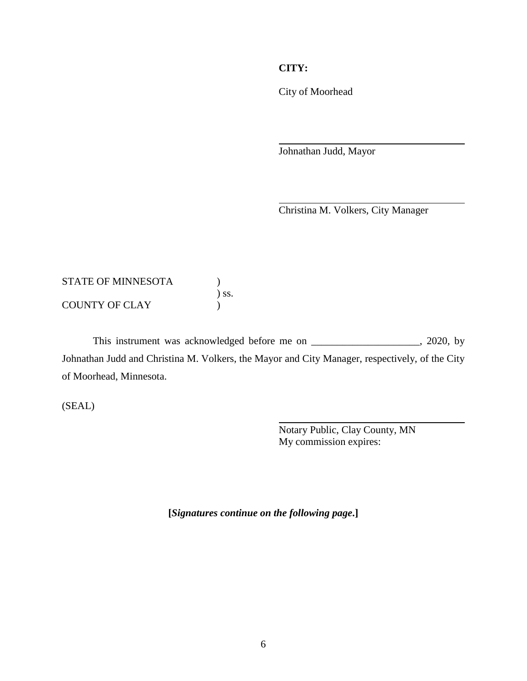# **CITY:**

City of Moorhead

Johnathan Judd, Mayor

Christina M. Volkers, City Manager

## STATE OF MINNESOTA  $\qquad \qquad$  )  $\int$  ss. COUNTY OF CLAY (1)

This instrument was acknowledged before me on \_\_\_\_\_\_\_\_\_\_\_\_\_\_\_\_\_\_\_\_, 2020, by Johnathan Judd and Christina M. Volkers, the Mayor and City Manager, respectively, of the City of Moorhead, Minnesota.

(SEAL)

Notary Public, Clay County, MN My commission expires:

**[***Signatures continue on the following page***.]**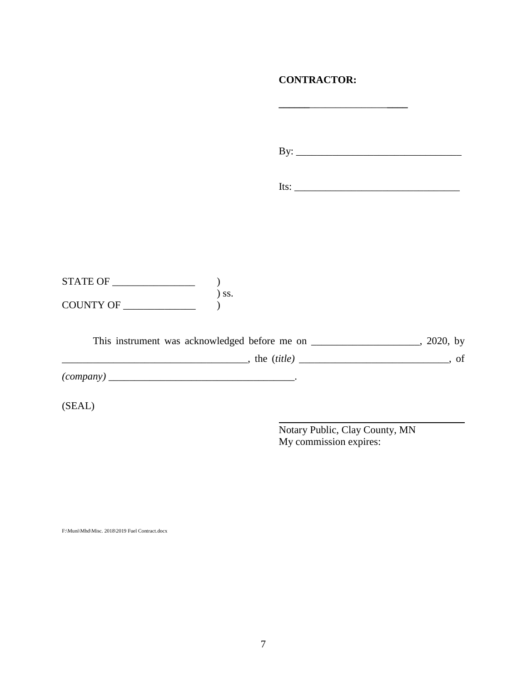# **CONTRACTOR:**

By: \_\_\_\_\_\_\_\_\_\_\_\_\_\_\_\_\_\_\_\_\_\_\_\_\_\_\_\_\_\_\_\_

Its: \_\_\_\_\_\_\_\_\_\_\_\_\_\_\_\_\_\_\_\_\_\_\_\_\_\_\_\_\_\_\_\_

STATE OF \_\_\_\_\_\_\_\_\_\_\_\_\_\_\_\_ )  $\int$  ss. COUNTY OF \_\_\_\_\_\_\_\_\_\_\_\_\_\_ )

|                  | This instrument was acknowledged before me on | 2020, by |
|------------------|-----------------------------------------------|----------|
|                  | the <i>(title)</i>                            | of       |
| <i>(company)</i> |                                               |          |

(SEAL)

Notary Public, Clay County, MN My commission expires:

F:\Muni\Mhd\Misc. 2018\2019 Fuel Contract.docx